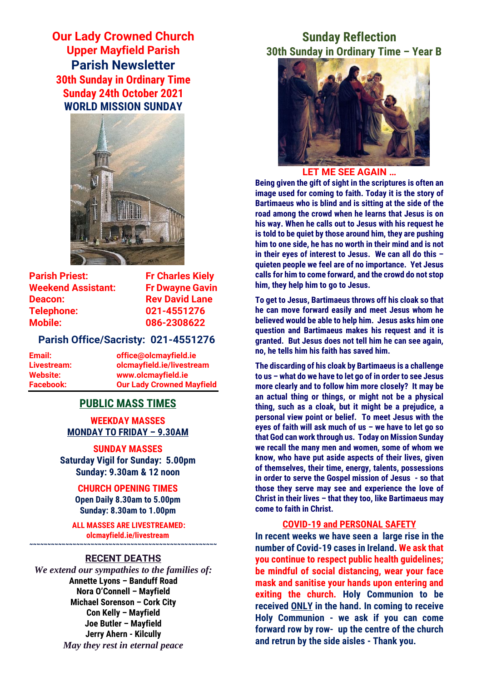**Our Lady Crowned Church Upper Mayfield Parish Parish Newsletter 30th Sunday in Ordinary Time Sunday 24th October 2021 WORLD MISSION SUNDAY**



**Parish Priest:** Fr Charles Kiely **Weekend Assistant: Fr Dwayne Gavin Deacon:** Rev David Lane **Telephone: 021-4551276 Mobile: 086-2308622** 

## **Parish Office/Sacristy: 021-4551276**

**Email: office@olcmayfield.ie Livestream: olcmayfield.ie/livestream Website: www.olcmayfield.ie Facebook: Our Lady Crowned Mayfield**

## **PUBLIC MASS TIMES**

**WEEKDAY MASSES MONDAY TO FRIDAY – 9.30AM**

**SUNDAY MASSES Saturday Vigil for Sunday: 5.00pm Sunday: 9.30am & 12 noon**

**CHURCH OPENING TIMES Open Daily 8.30am to 5.00pm Sunday: 8.30am to 1.00pm** 

**ALL MASSES ARE LIVESTREAMED: olcmayfield.ie/livestream**

## **~~~~~~~~~~~~~~~~~~~~~~~~~~~~~~~~~~~~~~~~~~~~~~~~~~~~ RECENT DEATHS**

*We extend our sympathies to the families of:* **Annette Lyons – Banduff Road Nora O'Connell – Mayfield Michael Sorenson – Cork City Con Kelly – Mayfield Joe Butler – Mayfield Jerry Ahern - Kilcully** *May they rest in eternal peace*

# **Sunday Reflection 30th Sunday in Ordinary Time – Year B**



## **LET ME SEE AGAIN …**

**Being given the gift of sight in the scriptures is often an image used for coming to faith. Today it is the story of Bartimaeus who is blind and is sitting at the side of the road among the crowd when he learns that Jesus is on his way. When he calls out to Jesus with his request he is told to be quiet by those around him, they are pushing him to one side, he has no worth in their mind and is not in their eyes of interest to Jesus. We can all do this – quieten people we feel are of no importance. Yet Jesus calls for him to come forward, and the crowd do not stop him, they help him to go to Jesus.**

**To get to Jesus, Bartimaeus throws off his cloak so that he can move forward easily and meet Jesus whom he believed would be able to help him. Jesus asks him one question and Bartimaeus makes his request and it is granted. But Jesus does not tell him he can see again, no, he tells him his faith has saved him.** 

**The discarding of his cloak by Bartimaeus is a challenge to us – what do we have to let go of in order to see Jesus more clearly and to follow him more closely? It may be an actual thing or things, or might not be a physical thing, such as a cloak, but it might be a prejudice, a personal view point or belief. To meet Jesus with the eyes of faith will ask much of us – we have to let go so that God can work through us. Today on Mission Sunday we recall the many men and women, some of whom we know, who have put aside aspects of their lives, given of themselves, their time, energy, talents, possessions in order to serve the Gospel mission of Jesus - so that those they serve may see and experience the love of Christ in their lives – that they too, like Bartimaeus may come to faith in Christ.**

## **COVID-19 and PERSONAL SAFETY**

**In recent weeks we have seen a large rise in the number of Covid-19 cases in Ireland. We ask that you continue to respect public health guidelines; be mindful of social distancing, wear your face mask and sanitise your hands upon entering and exiting the church. Holy Communion to be received ONLY in the hand. In coming to receive Holy Communion - we ask if you can come forward row by row- up the centre of the church and retrun by the side aisles - Thank you.**